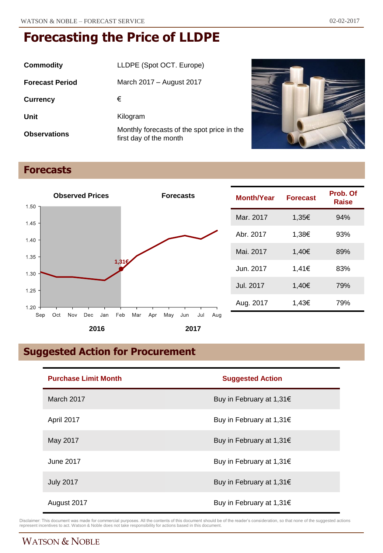| Commodity              | LLDPE (Spot OCT. Europe)                                             |
|------------------------|----------------------------------------------------------------------|
| <b>Forecast Period</b> | March 2017 – August 2017                                             |
| <b>Currency</b>        | €                                                                    |
| Unit                   | Kilogram                                                             |
| <b>Observations</b>    | Monthly forecasts of the spot price in the<br>first day of the month |



## **Forecasts**



| <b>Month/Year</b> | <b>Forecast</b> | Prob. Of<br>Raise |
|-------------------|-----------------|-------------------|
| Mar. 2017         | 1,35€           | 94%               |
| Abr. 2017         | 1,38€           | 93%               |
| Mai. 2017         | 1.40€           | 89%               |
| Jun. 2017         | 1.41€           | 83%               |
| Jul. 2017         | 1,40€           | 79%               |
| Aug. 2017         | 1,43€           | 79%               |

# **Suggested Action for Procurement**

| <b>Purchase Limit Month</b> | <b>Suggested Action</b>  |
|-----------------------------|--------------------------|
| March 2017                  | Buy in February at 1,31€ |
| April 2017                  | Buy in February at 1,31€ |
| May 2017                    | Buy in February at 1,31€ |
| June 2017                   | Buy in February at 1,31€ |
| <b>July 2017</b>            | Buy in February at 1,31€ |
| August 2017                 | Buy in February at 1,31€ |

Disclaimer: This document was made for commercial purposes. All the contents of this document should be of the reader's consideration, so that none of the suggested actions<br>represent incentives to act. Watson & Noble does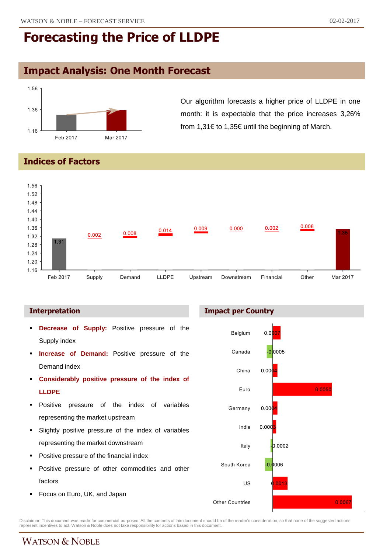## **Impact Analysis: One Month Forecast**



Our algorithm forecasts a higher price of LLDPE in one month: it is expectable that the price increases 3,26% from 1,31€ to 1,35€ until the beginning of March.

**Indices of Factors**



#### **Interpretation**

- **Decrease of Supply:** Positive pressure of the Supply index
- **Increase of Demand:** Positive pressure of the Demand index
- **Considerably positive pressure of the index of LLDPE**
- **Positive pressure of the index of variables** representing the market upstream
- Slightly positive pressure of the index of variables representing the market downstream
- Positive pressure of the financial index
- **Positive pressure of other commodities and other** factors
- **Focus on Euro, UK, and Japan**





Disclaimer: This document was made for commercial purposes. All the contents of this document should be of the reader's consideration, so that none of the suggested actions<br>represent incentives to act. Watson & Noble does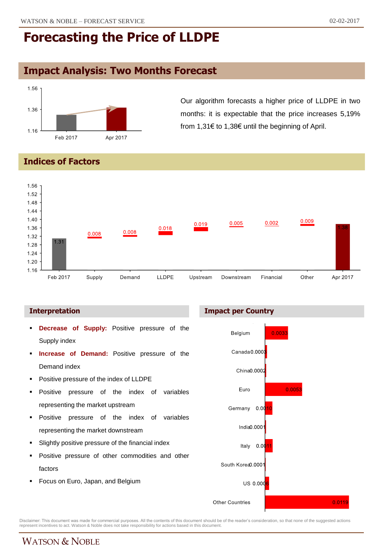## **Impact Analysis: Two Months Forecast**



Our algorithm forecasts a higher price of LLDPE in two months: it is expectable that the price increases 5,19% from 1,31€ to 1,38€ until the beginning of April.

### **Indices of Factors**



- **Decrease of Supply:** Positive pressure of the Supply index
- **Increase of Demand:** Positive pressure of the Demand index
- Positive pressure of the index of LLDPE
- Positive pressure of the index of variables representing the market upstream
- **Positive pressure of the index of variables** representing the market downstream
- Slightly positive pressure of the financial index
- Positive pressure of other commodities and other factors
- Focus on Euro, Japan, and Belgium





Disclaimer: This document was made for commercial purposes. All the contents of this document should be of the reader's consideration, so that none of the suggested actions<br>represent incentives to act. Watson & Noble does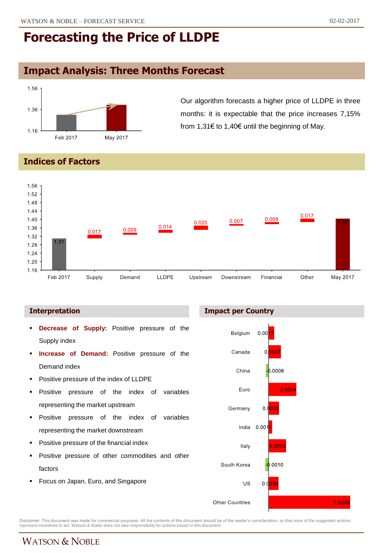# **Impact Analysis: Three Months Forecast**



Our algorithm forecasts a higher price of LLDPE in three months: it is expectable that the price increases 7,15% from 1,31€ to 1,40€ until the beginning of May.

#### **Indices of Factors**



- **Decrease of Supply:** Positive pressure of the Supply index
- **Increase of Demand:** Positive pressure of the Demand index
- Positive pressure of the index of LLDPE
- Positive pressure of the index of variables representing the market upstream
- **Positive pressure of the index of variables** representing the market downstream
- Positive pressure of the financial index
- Positive pressure of other commodities and other factors
- Focus on Japan, Euro, and Singapore





Disclaimer: This document was made for commercial purposes. All the contents of this document should be of the reader's consideration, so that none of the suggested actions<br>represent incentives to act. Watson & Noble does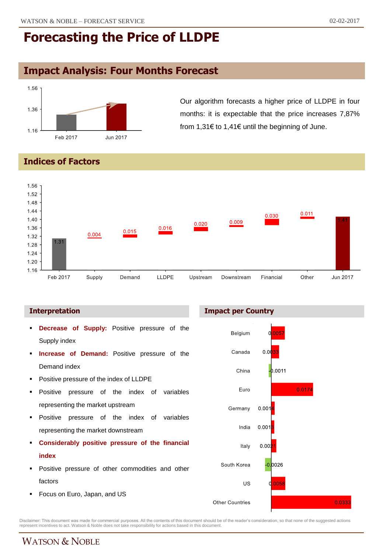# **Impact Analysis: Four Months Forecast**



Our algorithm forecasts a higher price of LLDPE in four months: it is expectable that the price increases 7,87% from 1,31€ to 1,41€ until the beginning of June.

### **Indices of Factors**



- **Decrease of Supply:** Positive pressure of the Supply index
- **Increase of Demand:** Positive pressure of the Demand index
- Positive pressure of the index of LLDPE
- Positive pressure of the index of variables representing the market upstream
- **Positive pressure of the index of variables** representing the market downstream
- **Considerably positive pressure of the financial index**
- **Positive pressure of other commodities and other** factors
- **Focus on Euro, Japan, and US**

#### **Interpretation Impact per Country**



Disclaimer: This document was made for commercial purposes. All the contents of this document should be of the reader's consideration, so that none of the suggested actions<br>represent incentives to act. Watson & Noble does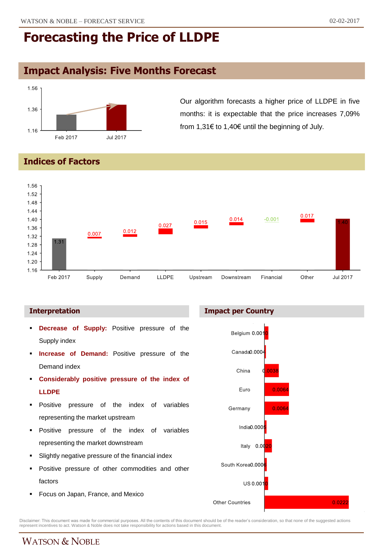## **Impact Analysis: Five Months Forecast**



Our algorithm forecasts a higher price of LLDPE in five months: it is expectable that the price increases 7,09% from 1,31€ to 1,40€ until the beginning of July.

### **Indices of Factors**



- **Decrease of Supply:** Positive pressure of the Supply index
- **Increase of Demand:** Positive pressure of the Demand index
- **Considerably positive pressure of the index of LLDPE**
- **Positive pressure of the index of variables** representing the market upstream
- **Positive pressure of the index of variables** representing the market downstream
- Slightly negative pressure of the financial index
- **Positive pressure of other commodities and other** factors
- **Focus on Japan, France, and Mexico**





Disclaimer: This document was made for commercial purposes. All the contents of this document should be of the reader's consideration, so that none of the suggested actions<br>represent incentives to act. Watson & Noble does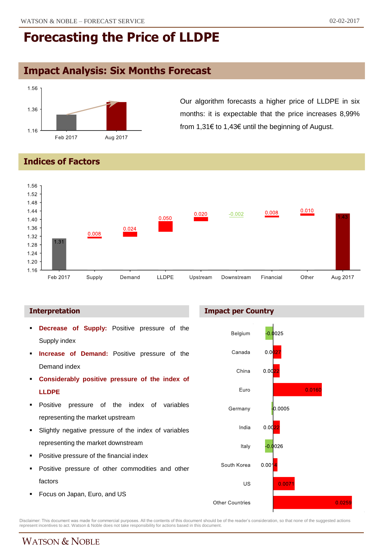## **Impact Analysis: Six Months Forecast**



Our algorithm forecasts a higher price of LLDPE in six months: it is expectable that the price increases 8,99% from 1,31€ to 1,43€ until the beginning of August.

### **Indices of Factors**



#### **Interpretation Impact per Country**

- **Decrease of Supply:** Positive pressure of the Supply index
- **Increase of Demand:** Positive pressure of the Demand index
- **Considerably positive pressure of the index of LLDPE**
- **Positive pressure of the index of variables** representing the market upstream
- Slightly negative pressure of the index of variables representing the market downstream
- Positive pressure of the financial index
- **Positive pressure of other commodities and other** factors
- **Focus on Japan, Euro, and US**



Disclaimer: This document was made for commercial purposes. All the contents of this document should be of the reader's consideration, so that none of the suggested actions<br>represent incentives to act. Watson & Noble does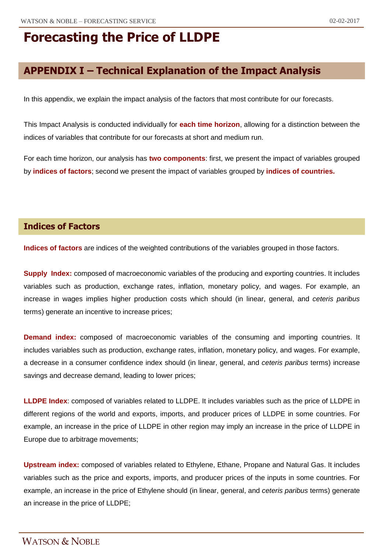# **APPENDIX I – Technical Explanation of the Impact Analysis**

In this appendix, we explain the impact analysis of the factors that most contribute for our forecasts.

This Impact Analysis is conducted individually for **each time horizon**, allowing for a distinction between the indices of variables that contribute for our forecasts at short and medium run.

For each time horizon, our analysis has **two components**: first, we present the impact of variables grouped by **indices of factors**; second we present the impact of variables grouped by **indices of countries.**

### **Indices of Factors**

**Indices of factors** are indices of the weighted contributions of the variables grouped in those factors.

**Supply Index:** composed of macroeconomic variables of the producing and exporting countries. It includes variables such as production, exchange rates, inflation, monetary policy, and wages. For example, an increase in wages implies higher production costs which should (in linear, general, and *ceteris paribus* terms) generate an incentive to increase prices;

**Demand index:** composed of macroeconomic variables of the consuming and importing countries. It includes variables such as production, exchange rates, inflation, monetary policy, and wages. For example, a decrease in a consumer confidence index should (in linear, general, and *ceteris paribus* terms) increase savings and decrease demand, leading to lower prices;

**LLDPE Index**: composed of variables related to LLDPE. It includes variables such as the price of LLDPE in different regions of the world and exports, imports, and producer prices of LLDPE in some countries. For example, an increase in the price of LLDPE in other region may imply an increase in the price of LLDPE in Europe due to arbitrage movements;

**Upstream index:** composed of variables related to Ethylene, Ethane, Propane and Natural Gas. It includes variables such as the price and exports, imports, and producer prices of the inputs in some countries. For example, an increase in the price of Ethylene should (in linear, general, and *ceteris paribus* terms) generate an increase in the price of LLDPE;